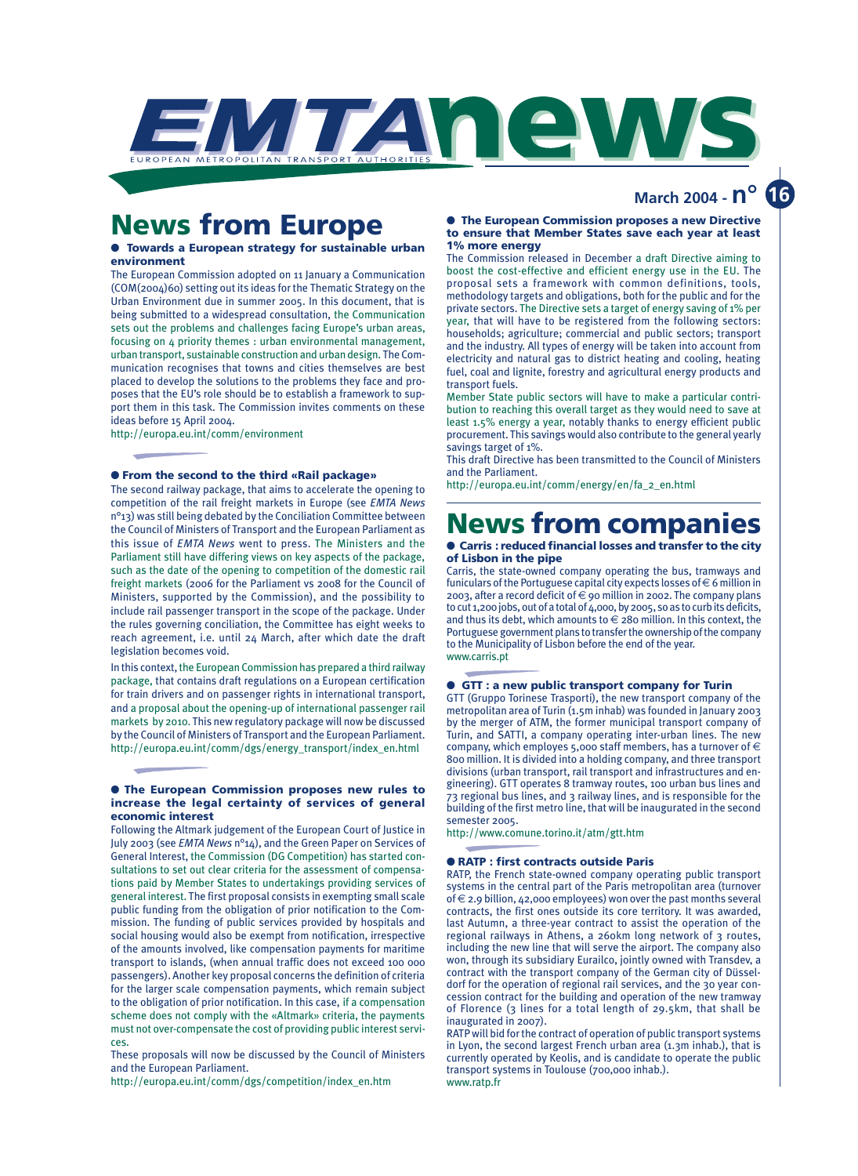

## **News from Europe**

#### **Towards a European strategy for sustainable urban environment**

The European Commission adopted on 11 January a Communication (COM(2004)60) setting out its ideas for the Thematic Strategy on the Urban Environment due in summer 2005. In this document, that is being submitted to a widespread consultation, the Communication sets out the problems and challenges facing Europe's urban areas, focusing on 4 priority themes : urban environmental management, urban transport, sustainable construction and urban design. The Communication recognises that towns and cities themselves are best placed to develop the solutions to the problems they face and proposes that the EU's role should be to establish a framework to support them in this task. The Commission invites comments on these ideas before 15 April 2004.

http://europa.eu.int/comm/environment

#### ● **From the second to the third «Rail package»**

The second railway package, that aims to accelerate the opening to competition of the rail freight markets in Europe (see *EMTA News* n°13) was still being debated by the Conciliation Committee between the Council of Ministers of Transport and the European Parliament as this issue of *EMTA News* went to press. The Ministers and the Parliament still have differing views on key aspects of the package, such as the date of the opening to competition of the domestic rail freight markets (2006 for the Parliament vs 2008 for the Council of Ministers, supported by the Commission), and the possibility to include rail passenger transport in the scope of the package. Under the rules governing conciliation, the Committee has eight weeks to reach agreement, i.e. until 24 March, after which date the draft legislation becomes void.

In this context, the European Commission has prepared a third railway package, that contains draft regulations on a European certification for train drivers and on passenger rights in international transport, and a proposal about the opening-up of international passenger rail markets by 2010. This new regulatory package will now be discussed by the Council of Ministers of Transport and the European Parliament. http://europa.eu.int/comm/dgs/energy\_transport/index\_en.html

#### ● **The European Commission proposes new rules to increase the legal certainty of services of general economic interest**

Following the Altmark judgement of the European Court of Justice in July 2003 (see *EMTA News* n°14), and the Green Paper on Services of General Interest, the Commission (DG Competition) has started consultations to set out clear criteria for the assessment of compensations paid by Member States to undertakings providing services of general interest. The first proposal consists in exempting small scale public funding from the obligation of prior notification to the Commission. The funding of public services provided by hospitals and social housing would also be exempt from notification, irrespective of the amounts involved, like compensation payments for maritime transport to islands, (when annual traffic does not exceed 100 000 passengers). Another key proposal concerns the definition of criteria for the larger scale compensation payments, which remain subject to the obligation of prior notification. In this case, if a compensation scheme does not comply with the «Altmark» criteria, the payments must not over-compensate the cost of providing public interest services.

These proposals will now be discussed by the Council of Ministers and the European Parliament.

http://europa.eu.int/comm/dgs/competition/index\_en.htm

#### ● **The European Commission proposes a new Directive to ensure that Member States save each year at least 1% more energy**

 **March 2004 - n°**

**16**

The Commission released in December a draft Directive aiming to boost the cost-effective and efficient energy use in the EU. The proposal sets a framework with common definitions, tools, methodology targets and obligations, both for the public and for the private sectors. The Directive sets a target of energy saving of 1% per year, that will have to be registered from the following sectors: households; agriculture; commercial and public sectors; transport and the industry. All types of energy will be taken into account from electricity and natural gas to district heating and cooling, heating fuel, coal and lignite, forestry and agricultural energy products and transport fuels.

Member State public sectors will have to make a particular contribution to reaching this overall target as they would need to save at least 1.5% energy a year, notably thanks to energy efficient public procurement. This savings would also contribute to the general yearly savings target of 1%.

This draft Directive has been transmitted to the Council of Ministers and the Parliament.

http://europa.eu.int/comm/energy/en/fa\_2\_en.html

# **News from companies**

#### ● **Carris : reduced financial losses and transfer to the city of Lisbon in the pipe**

Carris, the state-owned company operating the bus, tramways and funiculars of the Portuguese capital city expects losses of  $\in$  6 million in 2003, after a record deficit of  $\in$  90 million in 2002. The company plans to cut 1,200 jobs, out of a total of 4,000, by 2005, so as to curb its deficits, and thus its debt, which amounts to  $\in$  280 million. In this context, the Portuguese government plans to transfer the ownership of the company to the Municipality of Lisbon before the end of the year. www.carris.pt

#### ● **GTT : a new public transport company for Turin**

GTT (Gruppo Torinese Trasporti), the new transport company of the metropolitan area of Turin (1.5m inhab) was founded in January 2003 by the merger of ATM, the former municipal transport company of Turin, and SATTI, a company operating inter-urban lines. The new company, which employes 5,000 staff members, has a turnover of  $\in$ 800 million. It is divided into a holding company, and three transport divisions (urban transport, rail transport and infrastructures and engineering). GTT operates 8 tramway routes, 100 urban bus lines and 73 regional bus lines, and 3 railway lines, and is responsible for the building of the first metro line, that will be inaugurated in the second semester 2005.

http://www.comune.torino.it/atm/gtt.htm

#### ● **RATP : first contracts outside Paris**

RATP, the French state-owned company operating public transport systems in the central part of the Paris metropolitan area (turnover of  $\epsilon$  2.9 billion, 42,000 employees) won over the past months several contracts, the first ones outside its core territory. It was awarded, last Autumn, a three-year contract to assist the operation of the regional railways in Athens, a 260km long network of 3 routes, including the new line that will serve the airport. The company also won, through its subsidiary Eurailco, jointly owned with Transdev, a contract with the transport company of the German city of Düsseldorf for the operation of regional rail services, and the 30 year concession contract for the building and operation of the new tramway of Florence (3 lines for a total length of 29.5km, that shall be inaugurated in 2007).

RATP will bid for the contract of operation of public transport systems in Lyon, the second largest French urban area (1.3m inhab.), that is currently operated by Keolis, and is candidate to operate the public transport systems in Toulouse (700,000 inhab.). www.ratp.fr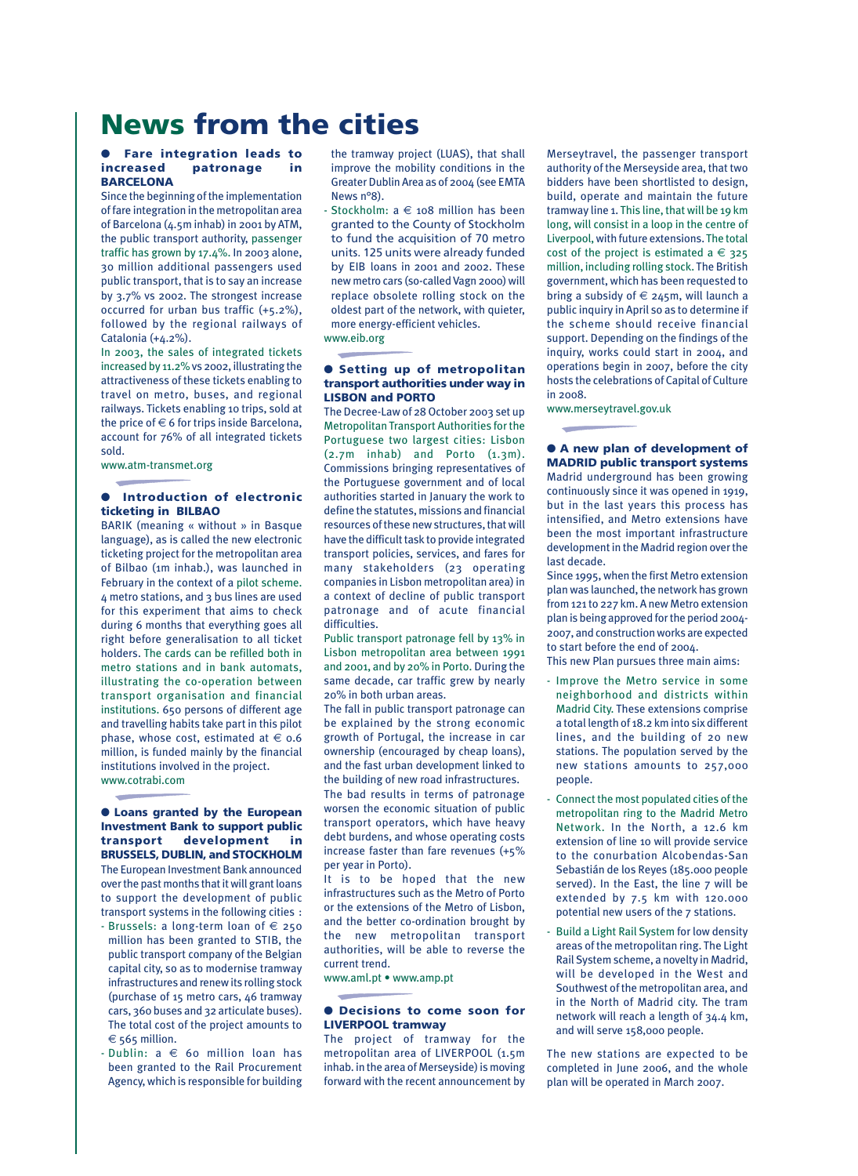# **News from the cities**

#### **Fare integration leads to increased patronage in BARCELONA**

Since the beginning of the implementation of fare integration in the metropolitan area of Barcelona (4.5m inhab) in 2001 by ATM, the public transport authority, passenger traffic has grown by 17.4%. In 2003 alone, 30 million additional passengers used public transport, that is to say an increase by 3.7% vs 2002. The strongest increase occurred for urban bus traffic (+5.2%), followed by the regional railways of Catalonia (+4.2%).

In 2003, the sales of integrated tickets increased by 11.2% vs 2002, illustrating the attractiveness of these tickets enabling to travel on metro, buses, and regional railways. Tickets enabling 10 trips, sold at the price of  $\in$  6 for trips inside Barcelona. account for 76% of all integrated tickets sold.

www.atm-transmet.org

### $\bullet$  Introduction of electronic **ticketing in BILBAO**

BARIK (meaning « without » in Basque language), as is called the new electronic ticketing project for the metropolitan area of Bilbao (1m inhab.), was launched in February in the context of a pilot scheme. 4 metro stations, and 3 bus lines are used for this experiment that aims to check during 6 months that everything goes all right before generalisation to all ticket holders. The cards can be refilled both in metro stations and in bank automats, illustrating the co-operation between transport organisation and financial institutions. 650 persons of different age and travelling habits take part in this pilot phase, whose cost, estimated at  $\in$  0.6 million, is funded mainly by the financial institutions involved in the project. www.cotrabi.com

● **Loans granted by the European Investment Bank to support public transport development in BRUSSELS, DUBLIN, and STOCKHOLM** The European Investment Bank announced over the past months that it will grant loans to support the development of public transport systems in the following cities :

- Brussels: a long-term loan of  $\epsilon$  250 million has been granted to STIB, the public transport company of the Belgian capital city, so as to modernise tramway infrastructures and renew its rolling stock (purchase of 15 metro cars, 46 tramway cars, 360 buses and 32 articulate buses). The total cost of the project amounts to  $\epsilon$  565 million.
- $-$  Dublin:  $a \in$  60 million loan has been granted to the Rail Procurement Agency, which is responsible for building

the tramway project (LUAS), that shall improve the mobility conditions in the Greater Dublin Area as of 2004 (see EMTA News n°8).

- Stockholm:  $a \in 108$  million has been granted to the County of Stockholm to fund the acquisition of 70 metro units. 125 units were already funded by EIB loans in 2001 and 2002. These new metro cars (so-called Vagn 2000) will replace obsolete rolling stock on the oldest part of the network, with quieter, more energy-efficient vehicles. www.eib.org

#### ● **Setting up of metropolitan transport authorities under way in LISBON and PORTO**

The Decree-Law of 28 October 2003 set up Metropolitan Transport Authorities for the Portuguese two largest cities: Lisbon  $(2.7m$  inhab) and Porto  $(1.3m)$ . Commissions bringing representatives of the Portuguese government and of local authorities started in January the work to define the statutes, missions and financial resources of these new structures, that will have the difficult task to provide integrated transport policies, services, and fares for many stakeholders (23 operating companies in Lisbon metropolitan area) in a context of decline of public transport patronage and of acute financial difficulties.

Public transport patronage fell by 13% in Lisbon metropolitan area between 1991 and 2001, and by 20% in Porto. During the same decade, car traffic grew by nearly 20% in both urban areas.

The fall in public transport patronage can be explained by the strong economic growth of Portugal, the increase in car ownership (encouraged by cheap loans), and the fast urban development linked to the building of new road infrastructures. The bad results in terms of patronage worsen the economic situation of public transport operators, which have heavy debt burdens, and whose operating costs increase faster than fare revenues (+5%

per year in Porto). It is to be hoped that the new infrastructures such as the Metro of Porto or the extensions of the Metro of Lisbon, and the better co-ordination brought by the new metropolitan transport authorities, will be able to reverse the current trend.

www.aml.pt • www.amp.pt

#### ● **Decisions to come soon for LIVERPOOL tramway**

The project of tramway for the metropolitan area of LIVERPOOL (1.5m inhab. in the area of Merseyside) is moving forward with the recent announcement by Merseytravel, the passenger transport authority of the Merseyside area, that two bidders have been shortlisted to design, build, operate and maintain the future tramway line 1. This line, that will be 19 km long, will consist in a loop in the centre of Liverpool, with future extensions. The total cost of the project is estimated  $a \in 325$ million, including rolling stock. The British government, which has been requested to bring a subsidy of  $\epsilon$  245m, will launch a public inquiry in April so as to determine if the scheme should receive financial support. Depending on the findings of the inquiry, works could start in 2004, and operations begin in 2007, before the city hosts the celebrations of Capital of Culture in 2008.

www.merseytravel.gov.uk

● **A new plan of development of MADRID public transport systems** Madrid underground has been growing continuously since it was opened in 1919, but in the last years this process has intensified, and Metro extensions have been the most important infrastructure development in the Madrid region over the last decade.

Since 1995, when the first Metro extension plan was launched, the network has grown from 121 to 227 km. A new Metro extension plan is being approved for the period 2004- 2007, and construction works are expected to start before the end of 2004.

This new Plan pursues three main aims:

- Improve the Metro service in some neighborhood and districts within Madrid City. These extensions comprise a total length of 18.2 km into six different lines, and the building of 20 new stations. The population served by the new stations amounts to 257,000 people.
- Connect the most populated cities of the metropolitan ring to the Madrid Metro Network. In the North, a 12.6 km extension of line 10 will provide service to the conurbation Alcobendas-San Sebastián de los Reyes (185.000 people served). In the East, the line 7 will be extended by 7.5 km with 120.000 potential new users of the 7 stations.
- Build a Light Rail System for low density areas of the metropolitan ring. The Light Rail System scheme, a novelty in Madrid, will be developed in the West and Southwest of the metropolitan area, and in the North of Madrid city. The tram network will reach a length of 34.4 km, and will serve 158,000 people.

The new stations are expected to be completed in June 2006, and the whole plan will be operated in March 2007.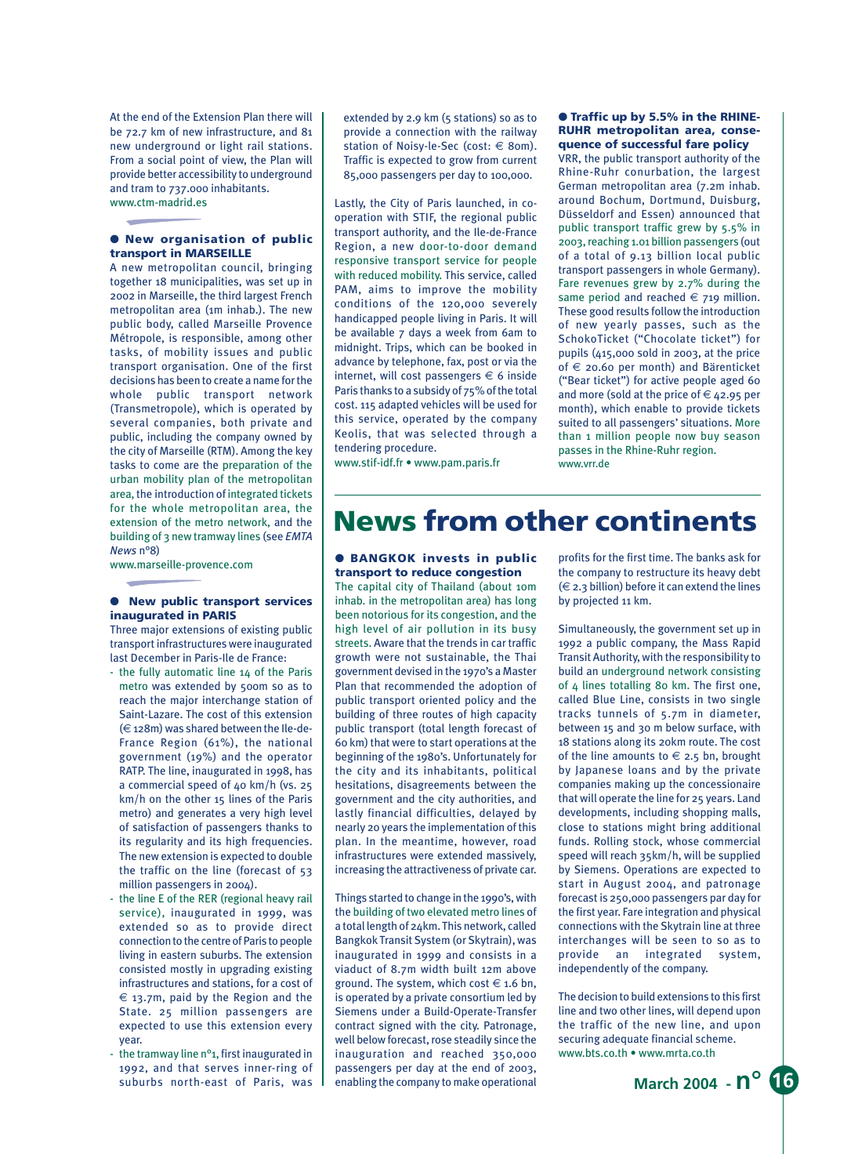At the end of the Extension Plan there will be 72.7 km of new infrastructure, and 81 new underground or light rail stations. From a social point of view, the Plan will provide better accessibility to underground and tram to 737.000 inhabitants. www.ctm-madrid.es

### ● **New organisation of public transport in MARSEILLE**

A new metropolitan council, bringing together 18 municipalities, was set up in 2002 in Marseille, the third largest French metropolitan area (1m inhab.). The new public body, called Marseille Provence Métropole, is responsible, among other tasks, of mobility issues and public transport organisation. One of the first decisions has been to create a name for the whole public transport network (Transmetropole), which is operated by several companies, both private and public, including the company owned by the city of Marseille (RTM). Among the key tasks to come are the preparation of the urban mobility plan of the metropolitan area, the introduction of integrated tickets for the whole metropolitan area, the extension of the metro network, and the building of 3 new tramway lines (see *EMTA News* n°8)

www.marseille-provence.com

#### ● **New public transport services inaugurated in PARIS**

Three major extensions of existing public transport infrastructures were inaugurated last December in Paris-Ile de France:

- the fully automatic line 14 of the Paris metro was extended by 500m so as to reach the major interchange station of Saint-Lazare. The cost of this extension (€ 128m) was shared between the Ile-de-France Region (61%), the national government (19%) and the operator RATP. The line, inaugurated in 1998, has a commercial speed of 40 km/h (vs. 25 km/h on the other 15 lines of the Paris metro) and generates a very high level of satisfaction of passengers thanks to its regularity and its high frequencies. The new extension is expected to double the traffic on the line (forecast of 53 million passengers in 2004).
- the line E of the RER (regional heavy rail service), inaugurated in 1999, was extended so as to provide direct connection to the centre of Paris to people living in eastern suburbs. The extension consisted mostly in upgrading existing infrastructures and stations, for a cost of  $\epsilon$  13.7m, paid by the Region and the State. 25 million passengers are expected to use this extension every year.
- the tramway line n°1, first inaugurated in 1992, and that serves inner-ring of

extended by 2.9 km (5 stations) so as to provide a connection with the railway station of Noisy-le-Sec (cost:  $\in$  80m). Traffic is expected to grow from current 85,000 passengers per day to 100,000.

Lastly, the City of Paris launched, in cooperation with STIF, the regional public transport authority, and the Ile-de-France Region, a new door-to-door demand responsive transport service for people with reduced mobility. This service, called PAM, aims to improve the mobility conditions of the 120,000 severely handicapped people living in Paris. It will be available 7 days a week from 6am to midnight. Trips, which can be booked in advance by telephone, fax, post or via the internet, will cost passengers  $\in$  6 inside Paris thanks to a subsidy of 75% of the total cost. 115 adapted vehicles will be used for this service, operated by the company Keolis, that was selected through a tendering procedure.

www.stif-idf.fr • www.pam.paris.fr

#### ● **Traffic up by 5.5% in the RHINE-RUHR metropolitan area, consequence of successful fare policy**

VRR, the public transport authority of the Rhine-Ruhr conurbation, the largest German metropolitan area (7.2m inhab. around Bochum, Dortmund, Duisburg, Düsseldorf and Essen) announced that public transport traffic grew by 5.5% in 2003, reaching 1.01 billion passengers (out of a total of 9.13 billion local public transport passengers in whole Germany). Fare revenues grew by 2.7% during the same period and reached  $\epsilon$  719 million. These good results follow the introduction of new yearly passes, such as the SchokoTicket ("Chocolate ticket") for pupils (415,000 sold in 2003, at the price of  $\epsilon$  20.60 per month) and Bärenticket ("Bear ticket") for active people aged 60 and more (sold at the price of  $\epsilon$  42.95 per month), which enable to provide tickets suited to all passengers' situations. More than 1 million people now buy season passes in the Rhine-Ruhr region. www.vrr.de

# **News from other continents**

#### ● **BANGKOK invests in public transport to reduce congestion**

The capital city of Thailand (about 10m inhab. in the metropolitan area) has long been notorious for its congestion, and the high level of air pollution in its busy streets. Aware that the trends in car traffic growth were not sustainable, the Thai government devised in the 1970's a Master Plan that recommended the adoption of public transport oriented policy and the building of three routes of high capacity public transport (total length forecast of 60 km) that were to start operations at the beginning of the 1980's. Unfortunately for the city and its inhabitants, political hesitations, disagreements between the government and the city authorities, and lastly financial difficulties, delayed by nearly 20 years the implementation of this plan. In the meantime, however, road infrastructures were extended massively, increasing the attractiveness of private car.

suburbs north-east of Paris, was enabling the company to make operational **March 2004 - n°** 16<sup>o</sup> Things started to change in the 1990's, with the building of two elevated metro lines of a total length of 24km. This network, called Bangkok Transit System (or Skytrain), was inaugurated in 1999 and consists in a viaduct of 8.7m width built 12m above ground. The system, which cost  $\in$  1.6 bn, is operated by a private consortium led by Siemens under a Build-Operate-Transfer contract signed with the city. Patronage, well below forecast, rose steadily since the inauguration and reached 350,000 passengers per day at the end of 2003, enabling the company to make operational

profits for the first time. The banks ask for the company to restructure its heavy debt  $(\in$  2.3 billion) before it can extend the lines by projected 11 km.

Simultaneously, the government set up in 1992 a public company, the Mass Rapid Transit Authority, with the responsibility to build an underground network consisting of 4 lines totalling 80 km. The first one, called Blue Line, consists in two single tracks tunnels of 5.7m in diameter, between 15 and 30 m below surface, with 18 stations along its 20km route. The cost of the line amounts to  $\epsilon$  2.5 bn, brought by Japanese loans and by the private companies making up the concessionaire that will operate the line for 25 years. Land developments, including shopping malls, close to stations might bring additional funds. Rolling stock, whose commercial speed will reach 35km/h, will be supplied by Siemens. Operations are expected to start in August 2004, and patronage forecast is 250,000 passengers par day for the first year. Fare integration and physical connections with the Skytrain line at three interchanges will be seen to so as to provide an integrated system, independently of the company.

The decision to build extensions to this first line and two other lines, will depend upon the traffic of the new line, and upon securing adequate financial scheme. www.bts.co.th • www.mrta.co.th